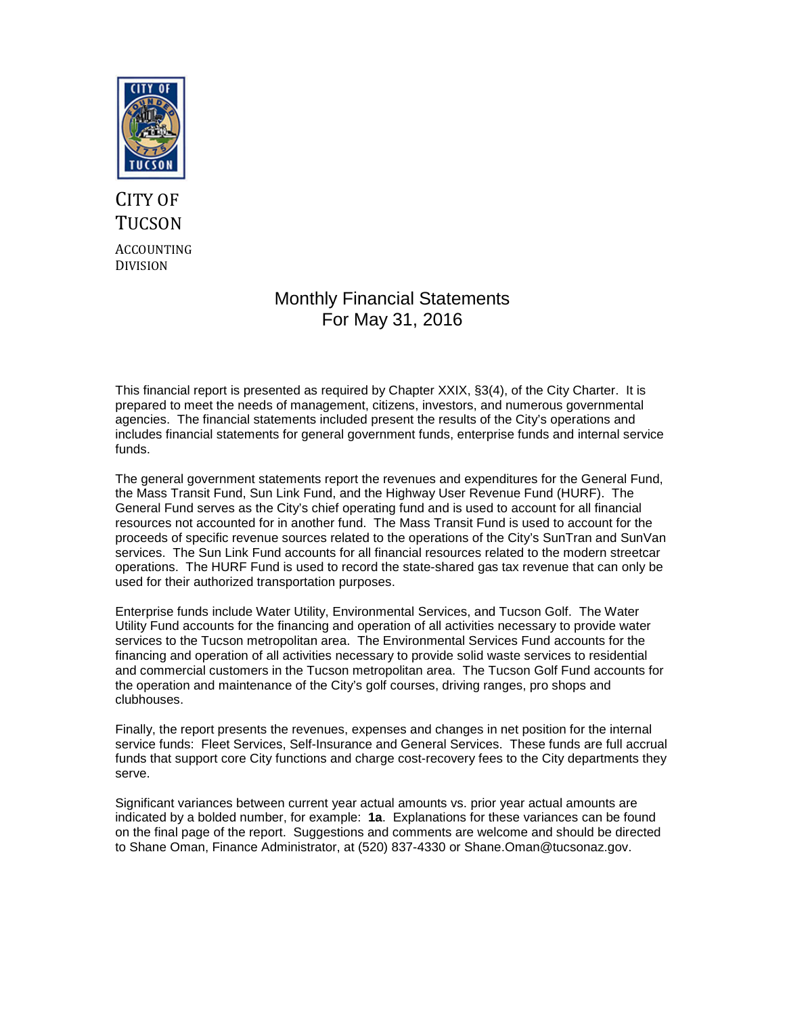

# CITY OF **TUCSON** ACCOUNTING DIVISION

# Monthly Financial Statements For May 31, 2016

This financial report is presented as required by Chapter XXIX, §3(4), of the City Charter. It is prepared to meet the needs of management, citizens, investors, and numerous governmental agencies. The financial statements included present the results of the City's operations and includes financial statements for general government funds, enterprise funds and internal service funds.

The general government statements report the revenues and expenditures for the General Fund, the Mass Transit Fund, Sun Link Fund, and the Highway User Revenue Fund (HURF). The General Fund serves as the City's chief operating fund and is used to account for all financial resources not accounted for in another fund. The Mass Transit Fund is used to account for the proceeds of specific revenue sources related to the operations of the City's SunTran and SunVan services. The Sun Link Fund accounts for all financial resources related to the modern streetcar operations. The HURF Fund is used to record the state-shared gas tax revenue that can only be used for their authorized transportation purposes.

Enterprise funds include Water Utility, Environmental Services, and Tucson Golf. The Water Utility Fund accounts for the financing and operation of all activities necessary to provide water services to the Tucson metropolitan area. The Environmental Services Fund accounts for the financing and operation of all activities necessary to provide solid waste services to residential and commercial customers in the Tucson metropolitan area. The Tucson Golf Fund accounts for the operation and maintenance of the City's golf courses, driving ranges, pro shops and clubhouses.

Finally, the report presents the revenues, expenses and changes in net position for the internal service funds: Fleet Services, Self-Insurance and General Services. These funds are full accrual funds that support core City functions and charge cost-recovery fees to the City departments they serve.

Significant variances between current year actual amounts vs. prior year actual amounts are indicated by a bolded number, for example: **1a**. Explanations for these variances can be found on the final page of the report. Suggestions and comments are welcome and should be directed to Shane Oman, Finance Administrator, at (520) 837-4330 or Shane.Oman@tucsonaz.gov.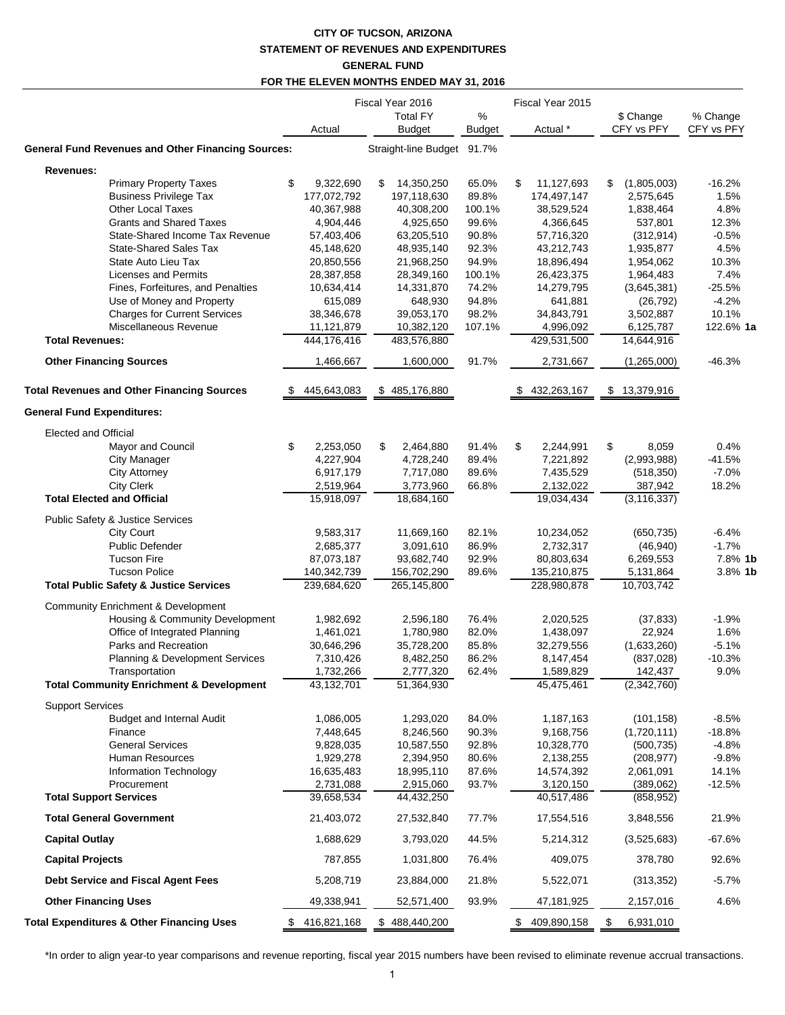## **CITY OF TUCSON, ARIZONA STATEMENT OF REVENUES AND EXPENDITURES GENERAL FUND FOR THE ELEVEN MONTHS ENDED MAY 31, 2016**

|                                                                       |                          | Fiscal Year 2016                 | Fiscal Year 2015   |    |                          |                          |                        |
|-----------------------------------------------------------------------|--------------------------|----------------------------------|--------------------|----|--------------------------|--------------------------|------------------------|
|                                                                       | Actual                   | <b>Total FY</b><br><b>Budget</b> | %<br><b>Budget</b> |    | Actual *                 | \$ Change<br>CFY vs PFY  | % Change<br>CFY vs PFY |
| <b>General Fund Revenues and Other Financing Sources:</b>             |                          | Straight-line Budget 91.7%       |                    |    |                          |                          |                        |
| Revenues:                                                             |                          |                                  |                    |    |                          |                          |                        |
| <b>Primary Property Taxes</b>                                         | \$<br>9,322,690          | 14,350,250<br>\$                 | 65.0%              | \$ | 11,127,693               | \$<br>(1,805,003)        | $-16.2%$               |
| <b>Business Privilege Tax</b>                                         | 177,072,792              | 197,118,630                      | 89.8%              |    | 174,497,147              | 2,575,645                | 1.5%                   |
| Other Local Taxes                                                     | 40,367,988               | 40,308,200                       | 100.1%             |    | 38,529,524               | 1,838,464                | 4.8%                   |
| <b>Grants and Shared Taxes</b>                                        | 4,904,446                | 4,925,650                        | 99.6%              |    | 4,366,645                | 537,801                  | 12.3%                  |
| State-Shared Income Tax Revenue                                       | 57,403,406               | 63,205,510                       | 90.8%              |    | 57,716,320               | (312, 914)               | $-0.5%$                |
| <b>State-Shared Sales Tax</b>                                         | 45,148,620               | 48,935,140                       | 92.3%              |    | 43,212,743               | 1,935,877                | 4.5%                   |
| State Auto Lieu Tax                                                   | 20,850,556               | 21,968,250<br>28,349,160         | 94.9%              |    | 18,896,494               | 1,954,062                | 10.3%                  |
| Licenses and Permits<br>Fines, Forfeitures, and Penalties             | 28,387,858<br>10,634,414 | 14,331,870                       | 100.1%<br>74.2%    |    | 26,423,375<br>14,279,795 | 1,964,483<br>(3,645,381) | 7.4%<br>$-25.5%$       |
| Use of Money and Property                                             | 615,089                  | 648,930                          | 94.8%              |    | 641,881                  | (26, 792)                | $-4.2%$                |
| <b>Charges for Current Services</b>                                   | 38,346,678               | 39,053,170                       | 98.2%              |    | 34,843,791               | 3,502,887                | 10.1%                  |
| Miscellaneous Revenue                                                 | 11,121,879               | 10,382,120                       | 107.1%             |    | 4,996,092                | 6,125,787                | 122.6% 1a              |
| <b>Total Revenues:</b>                                                | 444,176,416              | 483,576,880                      |                    |    | 429,531,500              | 14,644,916               |                        |
| <b>Other Financing Sources</b>                                        | 1,466,667                | 1,600,000                        | 91.7%              |    | 2,731,667                | (1,265,000)              | $-46.3%$               |
| <b>Total Revenues and Other Financing Sources</b>                     | 445,643,083              | \$485,176,880                    |                    |    | 432,263,167              | \$13,379,916             |                        |
| <b>General Fund Expenditures:</b>                                     |                          |                                  |                    |    |                          |                          |                        |
| Elected and Official                                                  |                          |                                  |                    |    |                          |                          |                        |
| Mayor and Council                                                     | \$<br>2,253,050          | \$<br>2,464,880                  | 91.4%              | \$ | 2,244,991                | \$<br>8,059              | 0.4%                   |
| <b>City Manager</b>                                                   | 4,227,904                | 4,728,240                        | 89.4%              |    | 7,221,892                | (2,993,988)              | $-41.5%$               |
| <b>City Attorney</b>                                                  | 6,917,179                | 7,717,080                        | 89.6%              |    | 7,435,529                | (518, 350)               | $-7.0%$                |
| <b>City Clerk</b>                                                     | 2,519,964                | 3,773,960                        | 66.8%              |    | 2,132,022                | 387,942                  | 18.2%                  |
| <b>Total Elected and Official</b>                                     | 15,918,097               | 18,684,160                       |                    |    | 19,034,434               | $\overline{(3,116,337)}$ |                        |
| Public Safety & Justice Services                                      |                          |                                  |                    |    |                          |                          |                        |
| <b>City Court</b>                                                     | 9,583,317                | 11,669,160                       | 82.1%              |    | 10,234,052               | (650, 735)               | $-6.4%$                |
| <b>Public Defender</b>                                                | 2,685,377                | 3,091,610                        | 86.9%              |    | 2,732,317                | (46, 940)                | $-1.7%$                |
| <b>Tucson Fire</b>                                                    | 87,073,187               | 93,682,740                       | 92.9%              |    | 80,803,634               | 6,269,553                | 7.8% 1k                |
| <b>Tucson Police</b>                                                  | 140,342,739              | 156,702,290                      | 89.6%              |    | 135,210,875              | 5,131,864                | 3.8% 1k                |
| <b>Total Public Safety &amp; Justice Services</b>                     | 239,684,620              | 265,145,800                      |                    |    | 228,980,878              | 10,703,742               |                        |
| <b>Community Enrichment &amp; Development</b>                         |                          |                                  |                    |    |                          |                          |                        |
| Housing & Community Development                                       | 1,982,692                | 2,596,180                        | 76.4%              |    | 2,020,525                | (37, 833)                | $-1.9%$                |
| Office of Integrated Planning                                         | 1,461,021                | 1,780,980                        | 82.0%              |    | 1,438,097                | 22,924                   | 1.6%                   |
| Parks and Recreation                                                  | 30,646,296               | 35,728,200                       | 85.8%              |    | 32,279,556               | (1,633,260)              | $-5.1%$                |
| Planning & Development Services                                       | 7,310,426                | 8,482,250                        | 86.2%              |    | 8,147,454                | (837, 028)               | $-10.3%$               |
| Transportation<br><b>Total Community Enrichment &amp; Development</b> | 1,732,266<br>43,132,701  | 2,777,320<br>51,364,930          | 62.4%              |    | 1,589,829<br>45,475,461  | 142,437<br>(2,342,760)   | 9.0%                   |
|                                                                       |                          |                                  |                    |    |                          |                          |                        |
| <b>Support Services</b>                                               |                          |                                  |                    |    |                          |                          |                        |
| <b>Budget and Internal Audit</b>                                      | 1,086,005                | 1,293,020                        | 84.0%              |    | 1,187,163                | (101, 158)               | $-8.5%$                |
| Finance                                                               | 7,448,645                | 8,246,560                        | 90.3%              |    | 9,168,756                | (1,720,111)              | $-18.8%$               |
| <b>General Services</b>                                               | 9,828,035                | 10,587,550                       | 92.8%              |    | 10,328,770               | (500, 735)               | $-4.8%$                |
| Human Resources                                                       | 1,929,278                | 2,394,950                        | 80.6%              |    | 2,138,255                | (208, 977)               | $-9.8%$                |
| Information Technology<br>Procurement                                 | 16,635,483               | 18,995,110                       | 87.6%              |    | 14,574,392               | 2,061,091                | 14.1%                  |
| <b>Total Support Services</b>                                         | 2,731,088<br>39,658,534  | 2,915,060<br>44,432,250          | 93.7%              |    | 3,120,150<br>40,517,486  | (389,062)<br>(858, 952)  | $-12.5%$               |
| <b>Total General Government</b>                                       | 21,403,072               | 27,532,840                       | 77.7%              |    | 17,554,516               | 3,848,556                | 21.9%                  |
| <b>Capital Outlay</b>                                                 | 1,688,629                | 3,793,020                        | 44.5%              |    | 5,214,312                | (3,525,683)              | $-67.6%$               |
| <b>Capital Projects</b>                                               | 787,855                  | 1,031,800                        | 76.4%              |    | 409,075                  | 378,780                  | 92.6%                  |
| Debt Service and Fiscal Agent Fees                                    | 5,208,719                | 23,884,000                       | 21.8%              |    | 5,522,071                | (313, 352)               | $-5.7%$                |
| <b>Other Financing Uses</b>                                           | 49,338,941               | 52,571,400                       | 93.9%              |    | 47,181,925               | 2,157,016                | 4.6%                   |
| <b>Total Expenditures &amp; Other Financing Uses</b>                  | \$416,821,168            | \$488,440,200                    |                    |    | \$409,890,158            | \$<br>6,931,010          |                        |

\*In order to align year-to year comparisons and revenue reporting, fiscal year 2015 numbers have been revised to eliminate revenue accrual transactions.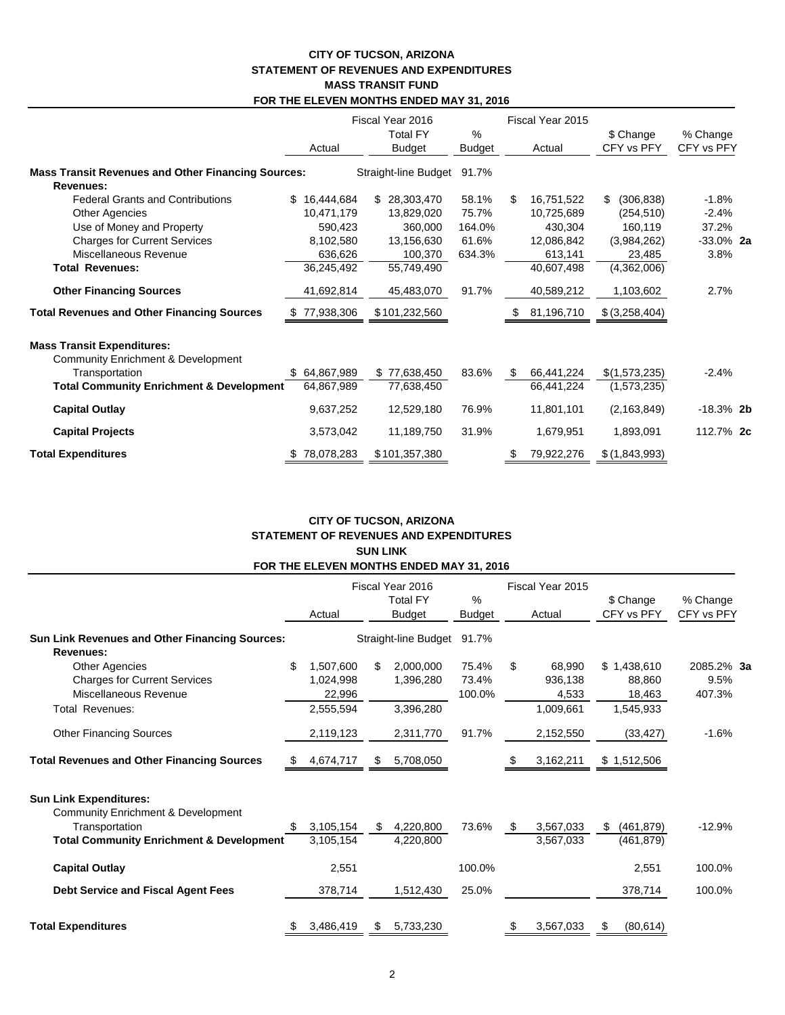### **CITY OF TUCSON, ARIZONA STATEMENT OF REVENUES AND EXPENDITURES MASS TRANSIT FUND FOR THE ELEVEN MONTHS ENDED MAY 31, 2016**

|                                                                        | Fiscal Year 2016  |                                  |             | Fiscal Year 2015 |                         |                        |
|------------------------------------------------------------------------|-------------------|----------------------------------|-------------|------------------|-------------------------|------------------------|
|                                                                        | Actual            | <b>Total FY</b><br><b>Budget</b> | %<br>Budget | Actual           | \$ Change<br>CFY vs PFY | % Change<br>CFY vs PFY |
| <b>Mass Transit Revenues and Other Financing Sources:</b><br>Revenues: |                   | Straight-line Budget             | 91.7%       |                  |                         |                        |
| <b>Federal Grants and Contributions</b>                                | \$<br>16,444,684  | \$ 28,303,470                    | 58.1%       | 16,751,522<br>\$ | (306, 838)<br>\$        | $-1.8%$                |
| <b>Other Agencies</b>                                                  | 10,471,179        | 13,829,020                       | 75.7%       | 10,725,689       | (254, 510)              | $-2.4%$                |
| Use of Money and Property                                              | 590,423           | 360,000                          | 164.0%      | 430,304          | 160,119                 | 37.2%                  |
| <b>Charges for Current Services</b>                                    | 8,102,580         | 13,156,630                       | 61.6%       | 12,086,842       | (3,984,262)             | $-33.0\%$ 2a           |
| Miscellaneous Revenue                                                  | 636,626           | 100,370                          | 634.3%      | 613,141          | 23,485                  | 3.8%                   |
| <b>Total Revenues:</b>                                                 | 36,245,492        | 55,749,490                       |             | 40,607,498       | (4,362,006)             |                        |
| <b>Other Financing Sources</b>                                         | 41,692,814        | 45,483,070                       | 91.7%       | 40,589,212       | 1,103,602               | 2.7%                   |
| <b>Total Revenues and Other Financing Sources</b>                      | 77,938,306<br>\$. | \$101,232,560                    |             | 81,196,710       | \$(3,258,404)           |                        |
| <b>Mass Transit Expenditures:</b>                                      |                   |                                  |             |                  |                         |                        |
| <b>Community Enrichment &amp; Development</b>                          |                   |                                  |             |                  |                         |                        |
| Transportation                                                         | \$64,867,989      | \$77,638,450                     | 83.6%       | 66,441,224<br>S. | \$(1,573,235)           | $-2.4%$                |
| <b>Total Community Enrichment &amp; Development</b>                    | 64,867,989        | 77,638,450                       |             | 66,441,224       | (1,573,235)             |                        |
| <b>Capital Outlay</b>                                                  | 9,637,252         | 12,529,180                       | 76.9%       | 11,801,101       | (2, 163, 849)           | $-18.3\%$ 2b           |
| <b>Capital Projects</b>                                                | 3,573,042         | 11,189,750                       | 31.9%       | 1,679,951        | 1,893,091               | 112.7% 2c              |
| <b>Total Expenditures</b>                                              | \$78,078,283      | \$101,357,380                    |             | 79,922,276<br>\$ | \$(1,843,993)           |                        |

## **CITY OF TUCSON, ARIZONA STATEMENT OF REVENUES AND EXPENDITURES SUN LINK FOR THE ELEVEN MONTHS ENDED MAY 31, 2016**

|                                                                                                                                                         |    | Actual                           |    | Fiscal Year 2016<br><b>Total FY</b><br><b>Budget</b> | $\%$<br><b>Budget</b>    | Fiscal Year 2015<br>Actual       | \$ Change<br>CFY vs PFY         | % Change<br>CFY vs PFY       |  |
|---------------------------------------------------------------------------------------------------------------------------------------------------------|----|----------------------------------|----|------------------------------------------------------|--------------------------|----------------------------------|---------------------------------|------------------------------|--|
| <b>Sun Link Revenues and Other Financing Sources:</b><br>Revenues:                                                                                      |    |                                  |    | Straight-line Budget                                 | 91.7%                    |                                  |                                 |                              |  |
| Other Agencies<br><b>Charges for Current Services</b><br>Miscellaneous Revenue                                                                          | \$ | 1,507,600<br>1,024,998<br>22,996 | \$ | 2,000,000<br>1,396,280                               | 75.4%<br>73.4%<br>100.0% | \$<br>68,990<br>936,138<br>4,533 | \$1,438,610<br>88,860<br>18,463 | 2085.2% 3a<br>9.5%<br>407.3% |  |
| Total Revenues:                                                                                                                                         |    | 2,555,594                        |    | 3,396,280                                            |                          | 1,009,661                        | 1,545,933                       |                              |  |
| <b>Other Financing Sources</b>                                                                                                                          |    | 2,119,123                        |    | 2,311,770                                            | 91.7%                    | 2,152,550                        | (33, 427)                       | $-1.6%$                      |  |
| <b>Total Revenues and Other Financing Sources</b>                                                                                                       | Ъ. | 4,674,717                        | S  | 5,708,050                                            |                          | 3,162,211                        | \$1,512,506                     |                              |  |
| <b>Sun Link Expenditures:</b><br><b>Community Enrichment &amp; Development</b><br>Transportation<br><b>Total Community Enrichment &amp; Development</b> | S  | 3,105,154<br>3,105,154           | \$ | 4,220,800<br>4,220,800                               | 73.6%                    | \$<br>3,567,033<br>3,567,033     | (461, 879)<br>S.<br>(461, 879)  | $-12.9%$                     |  |
| <b>Capital Outlay</b>                                                                                                                                   |    | 2,551                            |    |                                                      | 100.0%                   |                                  | 2,551                           | 100.0%                       |  |
| Debt Service and Fiscal Agent Fees                                                                                                                      |    | 378,714                          |    | 1,512,430                                            | 25.0%                    |                                  | 378,714                         | 100.0%                       |  |
| <b>Total Expenditures</b>                                                                                                                               |    | 3,486,419                        | \$ | 5,733,230                                            |                          | 3,567,033                        | (80, 614)                       |                              |  |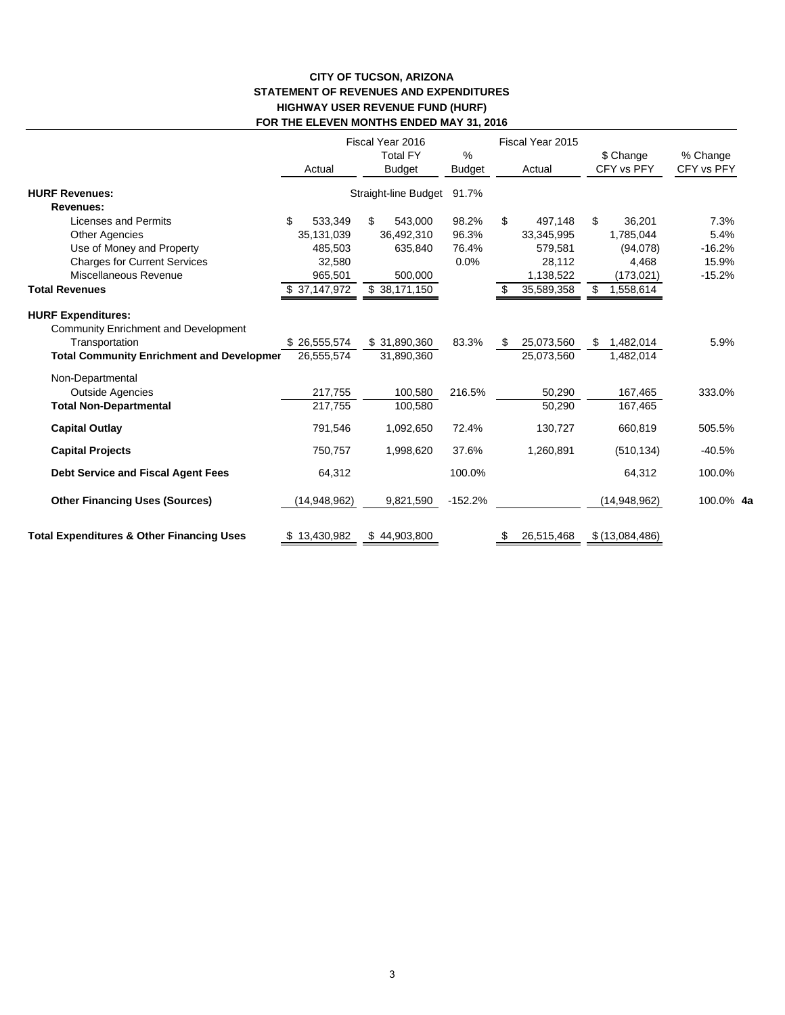## **CITY OF TUCSON, ARIZONA STATEMENT OF REVENUES AND EXPENDITURES HIGHWAY USER REVENUE FUND (HURF) FOR THE ELEVEN MONTHS ENDED MAY 31, 2016**

|                                                                          | Actual        | Fiscal Year 2016<br><b>Total FY</b><br><b>Budget</b> | $\%$<br><b>Budget</b> | Fiscal Year 2015<br>Actual | \$ Change<br>CFY vs PFY | % Change<br>CFY vs PFY |
|--------------------------------------------------------------------------|---------------|------------------------------------------------------|-----------------------|----------------------------|-------------------------|------------------------|
| <b>HURF Revenues:</b>                                                    |               | Straight-line Budget                                 | 91.7%                 |                            |                         |                        |
| <b>Revenues:</b>                                                         |               |                                                      |                       |                            |                         |                        |
| <b>Licenses and Permits</b>                                              | \$<br>533,349 | \$<br>543,000                                        | 98.2%                 | \$<br>497,148              | \$<br>36,201            | 7.3%                   |
| <b>Other Agencies</b>                                                    | 35,131,039    | 36,492,310                                           | 96.3%                 | 33,345,995                 | 1.785.044               | 5.4%                   |
| Use of Money and Property                                                | 485,503       | 635,840                                              | 76.4%                 | 579,581                    | (94,078)                | $-16.2%$               |
| <b>Charges for Current Services</b>                                      | 32,580        |                                                      | 0.0%                  | 28,112                     | 4,468                   | 15.9%                  |
| Miscellaneous Revenue                                                    | 965,501       | 500,000                                              |                       | 1,138,522                  | (173,021)               | $-15.2%$               |
| <b>Total Revenues</b>                                                    | \$37,147,972  | \$38,171,150                                         |                       | 35,589,358                 | \$<br>1,558,614         |                        |
| <b>HURF Expenditures:</b><br><b>Community Enrichment and Development</b> |               |                                                      |                       |                            |                         |                        |
| Transportation                                                           | \$26,555,574  | \$31,890,360                                         | 83.3%                 | 25,073,560<br>S            | 1,482,014<br>S          | 5.9%                   |
| <b>Total Community Enrichment and Developmer</b>                         | 26.555.574    | 31,890,360                                           |                       | 25,073,560                 | 1,482,014               |                        |
| Non-Departmental                                                         |               |                                                      |                       |                            |                         |                        |
| <b>Outside Agencies</b>                                                  | 217,755       | 100,580                                              | 216.5%                | 50,290                     | 167,465                 | 333.0%                 |
| <b>Total Non-Departmental</b>                                            | 217,755       | 100,580                                              |                       | 50,290                     | 167,465                 |                        |
| <b>Capital Outlay</b>                                                    | 791,546       | 1,092,650                                            | 72.4%                 | 130,727                    | 660,819                 | 505.5%                 |
| <b>Capital Projects</b>                                                  | 750,757       | 1,998,620                                            | 37.6%                 | 1,260,891                  | (510, 134)              | $-40.5%$               |
| <b>Debt Service and Fiscal Agent Fees</b>                                | 64,312        |                                                      | 100.0%                |                            | 64,312                  | 100.0%                 |
| <b>Other Financing Uses (Sources)</b>                                    | (14,948,962)  | 9,821,590                                            | $-152.2%$             |                            | (14,948,962)            | 100.0% 4a              |
| <b>Total Expenditures &amp; Other Financing Uses</b>                     | \$13,430,982  | \$44,903,800                                         |                       | 26,515,468<br>\$           | \$(13,084,486)          |                        |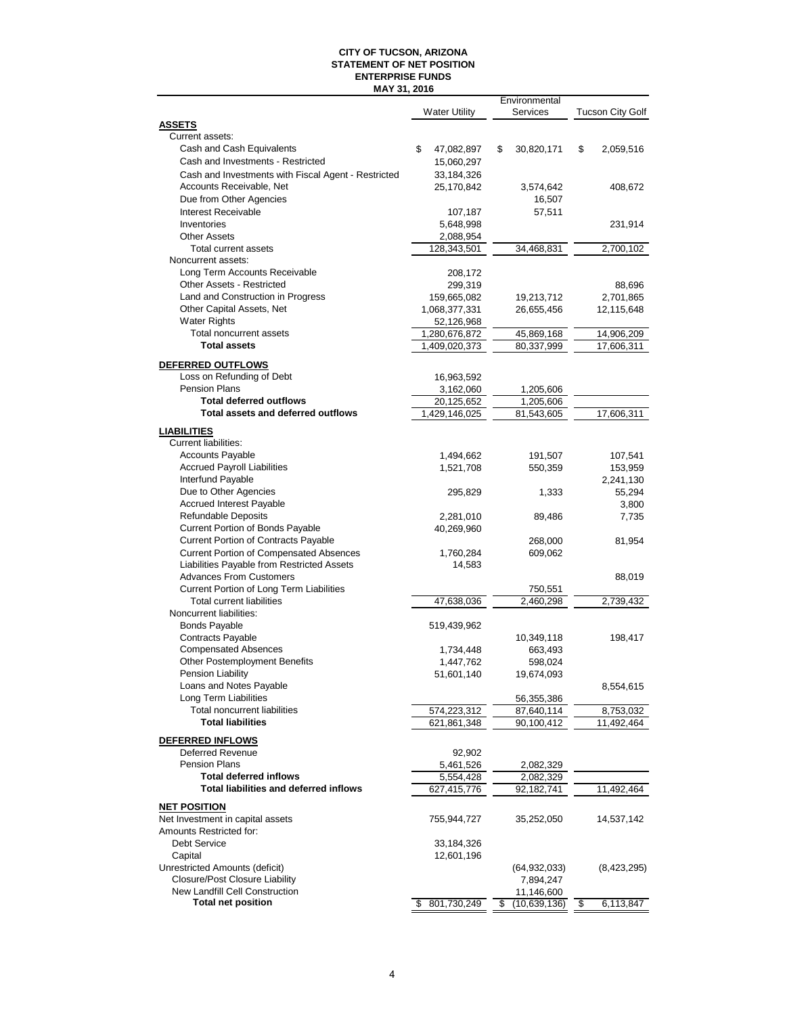#### **CITY OF TUCSON, ARIZONA STATEMENT OF NET POSITION MAY 31, 2016 ENTERPRISE FUNDS**

|                                                     |                            | Environmental            |                         |
|-----------------------------------------------------|----------------------------|--------------------------|-------------------------|
|                                                     | <b>Water Utility</b>       | Services                 | Tucson City Golf        |
| <b>ASSETS</b>                                       |                            |                          |                         |
| Current assets:                                     |                            |                          |                         |
| Cash and Cash Equivalents                           | \$<br>47,082,897           | \$<br>30,820,171         | \$<br>2,059,516         |
| Cash and Investments - Restricted                   | 15,060,297                 |                          |                         |
| Cash and Investments with Fiscal Agent - Restricted | 33,184,326                 |                          |                         |
| Accounts Receivable, Net                            | 25,170,842                 | 3,574,642                | 408,672                 |
| Due from Other Agencies                             |                            | 16,507                   |                         |
| Interest Receivable                                 | 107,187                    | 57,511                   |                         |
| Inventories                                         | 5,648,998                  |                          | 231,914                 |
| <b>Other Assets</b>                                 | 2,088,954                  |                          |                         |
| Total current assets                                | 128,343,501                | 34.468.831               | 2,700,102               |
| Noncurrent assets:                                  |                            |                          |                         |
| Long Term Accounts Receivable                       | 208,172                    |                          |                         |
| Other Assets - Restricted                           | 299,319                    |                          | 88,696                  |
| Land and Construction in Progress                   | 159,665,082                | 19,213,712               | 2,701,865               |
| Other Capital Assets, Net                           | 1,068,377,331              | 26,655,456               | 12,115,648              |
| <b>Water Rights</b>                                 | 52,126,968                 |                          |                         |
| Total noncurrent assets                             | 1,280,676,872              | 45,869,168               | 14,906,209              |
| <b>Total assets</b>                                 | 1,409,020,373              | 80,337,999               | 17,606,311              |
|                                                     |                            |                          |                         |
| DEFERRED OUTFLOWS                                   |                            |                          |                         |
| Loss on Refunding of Debt                           | 16,963,592                 |                          |                         |
| <b>Pension Plans</b>                                | 3,162,060                  | 1,205,606                |                         |
| <b>Total deferred outflows</b>                      | 20,125,652                 | 1,205,606                |                         |
| Total assets and deferred outflows                  | 1,429,146,025              | 81,543,605               | 17,606,311              |
| <b>LIABILITIES</b>                                  |                            |                          |                         |
| <b>Current liabilities:</b>                         |                            |                          |                         |
| <b>Accounts Payable</b>                             | 1,494,662                  | 191,507                  | 107,541                 |
| <b>Accrued Payroll Liabilities</b>                  | 1,521,708                  | 550,359                  | 153,959                 |
| Interfund Payable                                   |                            |                          | 2,241,130               |
| Due to Other Agencies                               | 295,829                    | 1,333                    | 55,294                  |
| <b>Accrued Interest Payable</b>                     |                            |                          | 3,800                   |
| <b>Refundable Deposits</b>                          | 2,281,010                  | 89,486                   | 7,735                   |
| Current Portion of Bonds Payable                    | 40,269,960                 |                          |                         |
| <b>Current Portion of Contracts Payable</b>         |                            | 268,000                  |                         |
| <b>Current Portion of Compensated Absences</b>      | 1,760,284                  | 609,062                  | 81,954                  |
| Liabilities Payable from Restricted Assets          | 14,583                     |                          |                         |
| <b>Advances From Customers</b>                      |                            |                          |                         |
| Current Portion of Long Term Liabilities            |                            |                          | 88,019                  |
| <b>Total current liabilities</b>                    | 47,638,036                 | 750,551<br>2,460,298     | 2,739,432               |
| Noncurrent liabilities:                             |                            |                          |                         |
| <b>Bonds Payable</b>                                | 519,439,962                |                          |                         |
| <b>Contracts Payable</b>                            |                            |                          |                         |
| <b>Compensated Absences</b>                         |                            | 10,349,118               | 198,417                 |
| Other Postemployment Benefits                       | 1,734,448                  | 663,493                  |                         |
|                                                     | 1,447,762                  | 598,024                  |                         |
| Pension Liability<br>Loans and Notes Payable        | 51,601,140                 | 19,674,093               |                         |
| Long Term Liabilities                               |                            |                          | 8,554,615               |
| Total noncurrent liabilities                        |                            | 56,355,386               |                         |
| <b>Total liabilities</b>                            | 574,223,312<br>621,861,348 | 87,640,114<br>90,100,412 | 8,753,032<br>11,492,464 |
|                                                     |                            |                          |                         |
| DEFERRED INFLOWS                                    |                            |                          |                         |
| Deferred Revenue                                    | 92,902                     |                          |                         |
| <b>Pension Plans</b>                                | 5,461,526                  | 2,082,329                |                         |
| <b>Total deferred inflows</b>                       | 5,554,428                  | 2,082,329                |                         |
| <b>Total liabilities and deferred inflows</b>       | 627,415,776                | 92,182,741               | 11,492,464              |
| <b>NET POSITION</b>                                 |                            |                          |                         |
| Net Investment in capital assets                    | 755,944,727                | 35,252,050               | 14,537,142              |
| Amounts Restricted for:                             |                            |                          |                         |
| <b>Debt Service</b>                                 | 33,184,326                 |                          |                         |
| Capital                                             | 12,601,196                 |                          |                         |
| Unrestricted Amounts (deficit)                      |                            | (64,932,033)             | (8,423,295)             |
| <b>Closure/Post Closure Liability</b>               |                            | 7,894,247                |                         |
| New Landfill Cell Construction                      |                            | 11,146,600               |                         |
| <b>Total net position</b>                           | 801,730,249<br>\$          | (10,639,136)<br>\$       | \$<br>6,113,847         |
|                                                     |                            |                          |                         |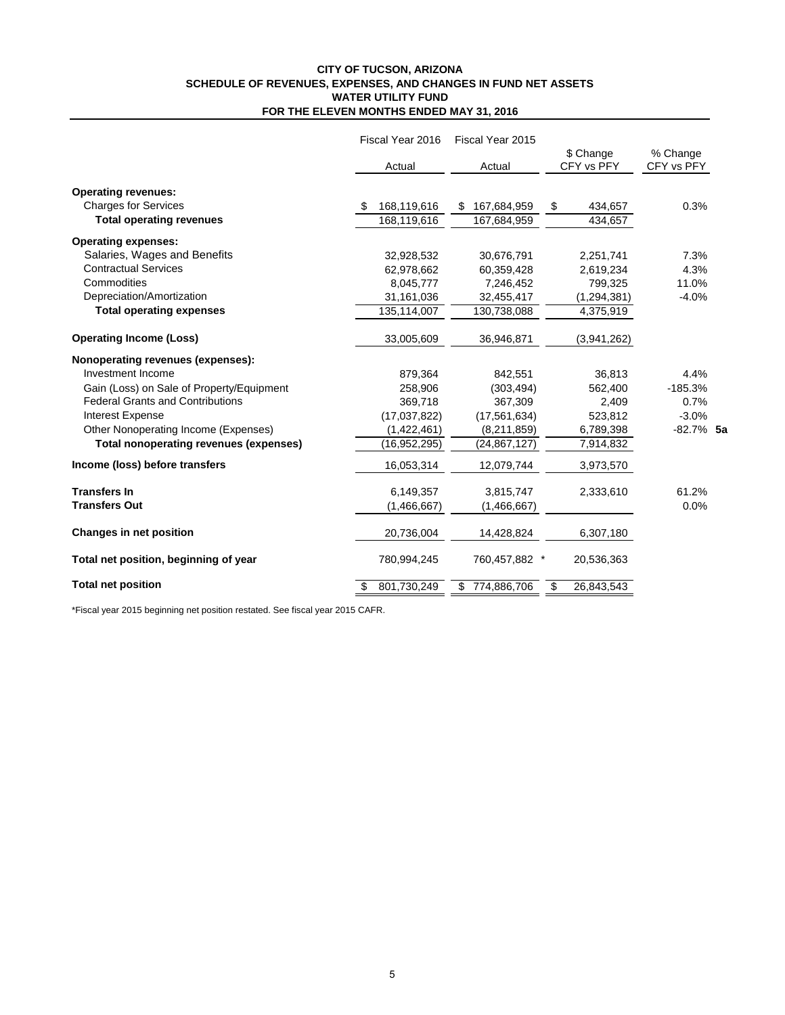#### **CITY OF TUCSON, ARIZONA SCHEDULE OF REVENUES, EXPENSES, AND CHANGES IN FUND NET ASSETS FOR THE ELEVEN MONTHS ENDED MAY 31, 2016 WATER UTILITY FUND**

|                                               | Fiscal Year 2016  | Fiscal Year 2015 |                         |                        |  |
|-----------------------------------------------|-------------------|------------------|-------------------------|------------------------|--|
|                                               | Actual            | Actual           | \$ Change<br>CFY vs PFY | % Change<br>CFY vs PFY |  |
| <b>Operating revenues:</b>                    |                   |                  |                         |                        |  |
| <b>Charges for Services</b>                   | 168,119,616<br>S. | 167,684,959<br>S | 434,657<br>\$           | 0.3%                   |  |
| <b>Total operating revenues</b>               | 168,119,616       | 167,684,959      | 434,657                 |                        |  |
| <b>Operating expenses:</b>                    |                   |                  |                         |                        |  |
| Salaries, Wages and Benefits                  | 32,928,532        | 30,676,791       | 2,251,741               | 7.3%                   |  |
| <b>Contractual Services</b>                   | 62,978,662        | 60,359,428       | 2,619,234               | 4.3%                   |  |
| Commodities                                   | 8,045,777         | 7,246,452        | 799,325                 | 11.0%                  |  |
| Depreciation/Amortization                     | 31,161,036        | 32,455,417       | (1, 294, 381)           | $-4.0%$                |  |
| <b>Total operating expenses</b>               | 135,114,007       | 130,738,088      | 4,375,919               |                        |  |
| <b>Operating Income (Loss)</b>                | 33,005,609        | 36,946,871       | (3,941,262)             |                        |  |
| Nonoperating revenues (expenses):             |                   |                  |                         |                        |  |
| Investment Income                             | 879,364           | 842,551          | 36,813                  | 4.4%                   |  |
| Gain (Loss) on Sale of Property/Equipment     | 258,906           | (303, 494)       | 562,400                 | $-185.3%$              |  |
| <b>Federal Grants and Contributions</b>       | 369,718           | 367,309          | 2,409                   | 0.7%                   |  |
| <b>Interest Expense</b>                       | (17,037,822)      | (17, 561, 634)   | 523,812                 | $-3.0%$                |  |
| Other Nonoperating Income (Expenses)          | (1,422,461)       | (8,211,859)      | 6,789,398               | $-82.7%$ 5a            |  |
| <b>Total nonoperating revenues (expenses)</b> | (16,952,295)      | (24, 867, 127)   | 7,914,832               |                        |  |
| Income (loss) before transfers                | 16,053,314        | 12,079,744       | 3,973,570               |                        |  |
| <b>Transfers In</b>                           | 6,149,357         | 3,815,747        | 2,333,610               | 61.2%                  |  |
| <b>Transfers Out</b>                          | (1,466,667)       | (1,466,667)      |                         | 0.0%                   |  |
| <b>Changes in net position</b>                | 20,736,004        | 14,428,824       | 6,307,180               |                        |  |
| Total net position, beginning of year         | 780,994,245       | 760,457,882 *    | 20,536,363              |                        |  |
| <b>Total net position</b>                     | 801,730,249       | \$774,886,706    | 26,843,543<br>\$        |                        |  |

\*Fiscal year 2015 beginning net position restated. See fiscal year 2015 CAFR.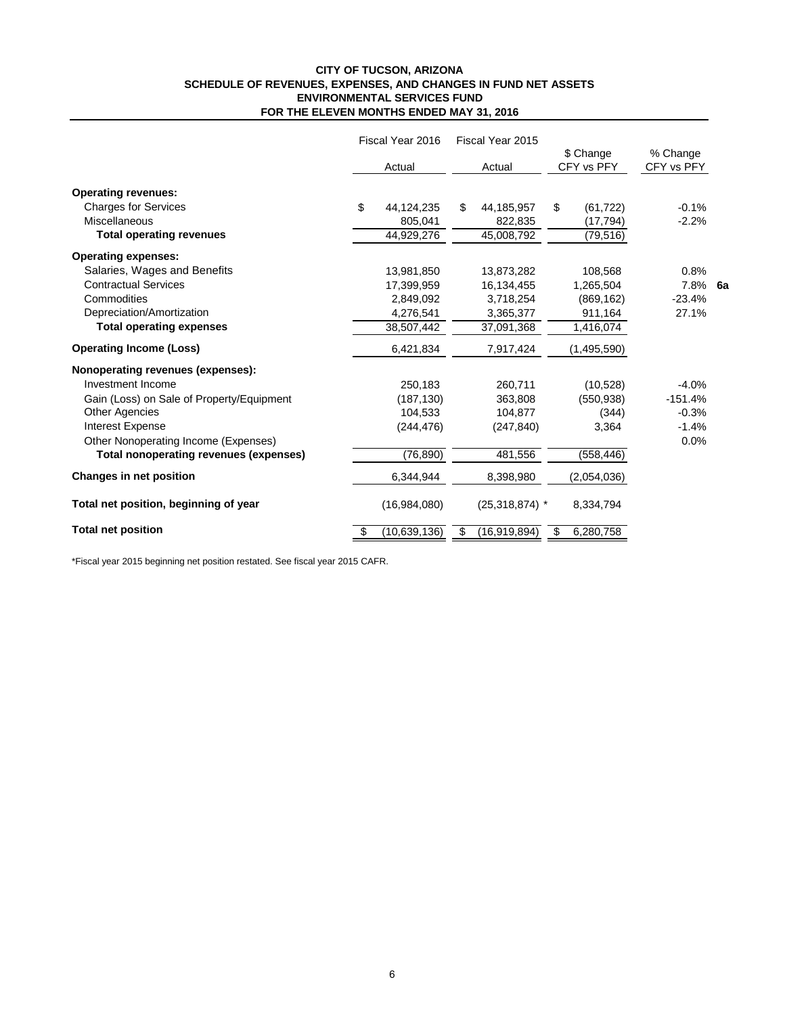### **CITY OF TUCSON, ARIZONA SCHEDULE OF REVENUES, EXPENSES, AND CHANGES IN FUND NET ASSETS FOR THE ELEVEN MONTHS ENDED MAY 31, 2016 ENVIRONMENTAL SERVICES FUND**

|                                               | Fiscal Year 2016<br>Fiscal Year 2015 |                      |                         |                        |
|-----------------------------------------------|--------------------------------------|----------------------|-------------------------|------------------------|
|                                               | Actual                               | Actual               | \$ Change<br>CFY vs PFY | % Change<br>CFY vs PFY |
| <b>Operating revenues:</b>                    |                                      |                      |                         |                        |
| <b>Charges for Services</b>                   | \$<br>44,124,235                     | \$<br>44,185,957     | \$<br>(61, 722)         | $-0.1%$                |
| <b>Miscellaneous</b>                          | 805,041                              | 822,835              | (17, 794)               | $-2.2%$                |
| <b>Total operating revenues</b>               | 44,929,276                           | 45,008,792           | (79, 516)               |                        |
| <b>Operating expenses:</b>                    |                                      |                      |                         |                        |
| Salaries, Wages and Benefits                  | 13,981,850                           | 13,873,282           | 108,568                 | 0.8%                   |
| <b>Contractual Services</b>                   | 17,399,959                           | 16,134,455           | 1,265,504               | 7.8%<br>6a             |
| Commodities                                   | 2,849,092                            | 3,718,254            | (869, 162)              | $-23.4%$               |
| Depreciation/Amortization                     | 4,276,541                            | 3,365,377            | 911,164                 | 27.1%                  |
| <b>Total operating expenses</b>               | 38,507,442                           | 37,091,368           | 1,416,074               |                        |
| <b>Operating Income (Loss)</b>                | 6,421,834                            | 7,917,424            | (1,495,590)             |                        |
| Nonoperating revenues (expenses):             |                                      |                      |                         |                        |
| Investment Income                             | 250,183                              | 260,711              | (10, 528)               | $-4.0%$                |
| Gain (Loss) on Sale of Property/Equipment     | (187, 130)                           | 363,808              | (550, 938)              | $-151.4%$              |
| <b>Other Agencies</b>                         | 104.533                              | 104,877              | (344)                   | $-0.3%$                |
| <b>Interest Expense</b>                       | (244, 476)                           | (247, 840)           | 3,364                   | $-1.4%$                |
| Other Nonoperating Income (Expenses)          |                                      |                      |                         | 0.0%                   |
| <b>Total nonoperating revenues (expenses)</b> | (76, 890)                            | 481,556              | (558, 446)              |                        |
| Changes in net position                       | 6,344,944                            | 8,398,980            | (2,054,036)             |                        |
| Total net position, beginning of year         | (16,984,080)                         | $(25,318,874)$ *     | 8,334,794               |                        |
| <b>Total net position</b>                     | (10,639,136)<br>\$                   | (16, 919, 894)<br>\$ | 6,280,758<br>\$         |                        |

\*Fiscal year 2015 beginning net position restated. See fiscal year 2015 CAFR.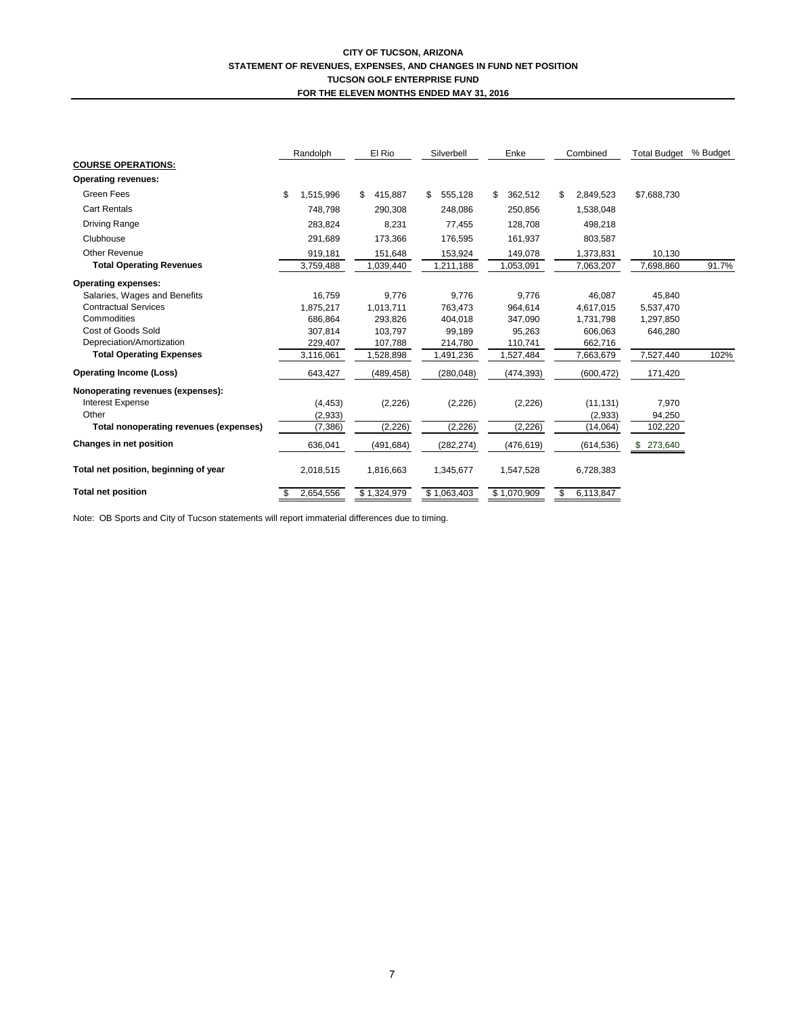#### **CITY OF TUCSON, ARIZONA STATEMENT OF REVENUES, EXPENSES, AND CHANGES IN FUND NET POSITION TUCSON GOLF ENTERPRISE FUND FOR THE ELEVEN MONTHS ENDED MAY 31, 2016**

|                                        | Randolph        | El Rio        | Silverbell    | Enke          | Combined        |             | % Budget |
|----------------------------------------|-----------------|---------------|---------------|---------------|-----------------|-------------|----------|
| <b>COURSE OPERATIONS:</b>              |                 |               |               |               |                 |             |          |
| <b>Operating revenues:</b>             |                 |               |               |               |                 |             |          |
| <b>Green Fees</b>                      | \$<br>1,515,996 | \$<br>415,887 | 555,128<br>\$ | 362,512<br>\$ | 2,849,523<br>S  | \$7,688,730 |          |
| <b>Cart Rentals</b>                    | 748,798         | 290,308       | 248,086       | 250,856       | 1,538,048       |             |          |
| <b>Driving Range</b>                   | 283.824         | 8,231         | 77,455        | 128,708       | 498,218         |             |          |
| Clubhouse                              | 291,689         | 173,366       | 176,595       | 161,937       | 803,587         |             |          |
| Other Revenue                          | 919,181         | 151,648       | 153,924       | 149,078       | 1,373,831       | 10,130      |          |
| <b>Total Operating Revenues</b>        | 3,759,488       | 1,039,440     | 1,211,188     | 1,053,091     | 7,063,207       | 7,698,860   | 91.7%    |
| <b>Operating expenses:</b>             |                 |               |               |               |                 |             |          |
| Salaries, Wages and Benefits           | 16,759          | 9,776         | 9,776         | 9,776         | 46,087          | 45,840      |          |
| <b>Contractual Services</b>            | 1,875,217       | 1,013,711     | 763.473       | 964.614       | 4,617,015       | 5,537,470   |          |
| Commodities                            | 686.864         | 293.826       | 404.018       | 347.090       | 1,731,798       | 1,297,850   |          |
| Cost of Goods Sold                     | 307.814         | 103.797       | 99,189        | 95,263        | 606,063         | 646,280     |          |
| Depreciation/Amortization              | 229,407         | 107,788       | 214,780       | 110,741       | 662,716         |             |          |
| <b>Total Operating Expenses</b>        | 3,116,061       | 1,528,898     | 1,491,236     | 1,527,484     | 7,663,679       | 7,527,440   | 102%     |
| <b>Operating Income (Loss)</b>         | 643,427         | (489, 458)    | (280, 048)    | (474, 393)    | (600, 472)      | 171,420     |          |
| Nonoperating revenues (expenses):      |                 |               |               |               |                 |             |          |
| Interest Expense                       | (4, 453)        | (2, 226)      | (2,226)       | (2,226)       | (11, 131)       | 7,970       |          |
| Other                                  | (2,933)         |               |               |               | (2,933)         | 94,250      |          |
| Total nonoperating revenues (expenses) | (7, 386)        | (2, 226)      | (2, 226)      | (2,226)       | (14,064)        | 102,220     |          |
| Changes in net position                | 636,041         | (491, 684)    | (282, 274)    | (476, 619)    | (614, 536)      | 273,640     |          |
| Total net position, beginning of year  | 2,018,515       | 1,816,663     | 1,345,677     | 1,547,528     | 6,728,383       |             |          |
| <b>Total net position</b>              | 2,654,556       | \$1,324,979   | \$1,063,403   | \$1,070,909   | \$<br>6,113,847 |             |          |

Note: OB Sports and City of Tucson statements will report immaterial differences due to timing.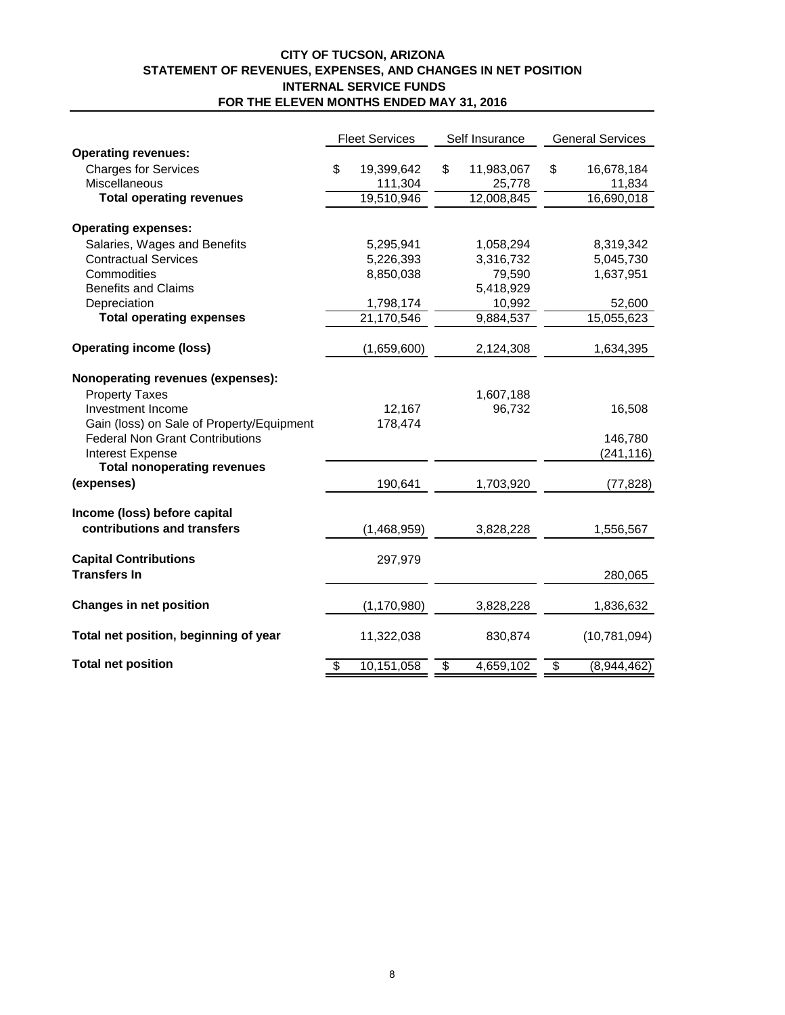## **CITY OF TUCSON, ARIZONA STATEMENT OF REVENUES, EXPENSES, AND CHANGES IN NET POSITION INTERNAL SERVICE FUNDS FOR THE ELEVEN MONTHS ENDED MAY 31, 2016**

|                                           | <b>Fleet Services</b> |               | Self Insurance |            | <b>General Services</b> |                |
|-------------------------------------------|-----------------------|---------------|----------------|------------|-------------------------|----------------|
| <b>Operating revenues:</b>                |                       |               |                |            |                         |                |
| <b>Charges for Services</b>               | \$                    | 19,399,642    | \$             | 11,983,067 | \$                      | 16,678,184     |
| Miscellaneous                             |                       | 111,304       |                | 25,778     |                         | 11,834         |
| <b>Total operating revenues</b>           |                       | 19,510,946    |                | 12,008,845 |                         | 16,690,018     |
| <b>Operating expenses:</b>                |                       |               |                |            |                         |                |
|                                           |                       |               |                |            |                         |                |
| Salaries, Wages and Benefits              |                       | 5,295,941     |                | 1,058,294  |                         | 8,319,342      |
| <b>Contractual Services</b>               |                       | 5,226,393     |                | 3,316,732  |                         | 5,045,730      |
| Commodities                               |                       | 8,850,038     |                | 79,590     |                         | 1,637,951      |
| <b>Benefits and Claims</b>                |                       |               |                | 5,418,929  |                         |                |
| Depreciation                              |                       | 1,798,174     |                | 10,992     |                         | 52,600         |
| <b>Total operating expenses</b>           |                       | 21,170,546    |                | 9,884,537  |                         | 15,055,623     |
| <b>Operating income (loss)</b>            |                       | (1,659,600)   |                | 2,124,308  |                         | 1,634,395      |
| Nonoperating revenues (expenses):         |                       |               |                |            |                         |                |
| <b>Property Taxes</b>                     |                       |               |                | 1,607,188  |                         |                |
| Investment Income                         |                       | 12,167        |                | 96,732     |                         | 16,508         |
| Gain (loss) on Sale of Property/Equipment |                       | 178,474       |                |            |                         |                |
| <b>Federal Non Grant Contributions</b>    |                       |               |                |            |                         | 146,780        |
| Interest Expense                          |                       |               |                |            |                         | (241, 116)     |
| <b>Total nonoperating revenues</b>        |                       |               |                |            |                         |                |
| (expenses)                                |                       | 190,641       |                | 1,703,920  |                         | (77, 828)      |
| Income (loss) before capital              |                       |               |                |            |                         |                |
| contributions and transfers               |                       | (1,468,959)   |                | 3,828,228  |                         | 1,556,567      |
| <b>Capital Contributions</b>              |                       | 297,979       |                |            |                         |                |
| <b>Transfers In</b>                       |                       |               |                |            |                         | 280,065        |
|                                           |                       |               |                |            |                         |                |
| <b>Changes in net position</b>            |                       | (1, 170, 980) |                | 3,828,228  |                         | 1,836,632      |
| Total net position, beginning of year     |                       | 11,322,038    |                | 830,874    |                         | (10, 781, 094) |
| <b>Total net position</b>                 | $\overline{\$}$       | 10,151,058    | \$             | 4,659,102  | $\overline{\$}$         | (8,944,462)    |